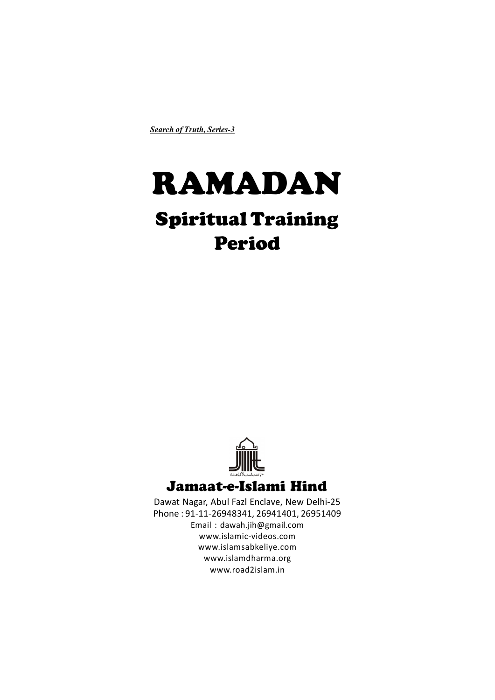*Search of Truth, Series-3*

# RAMADAN

## Spiritual Training Period



Dawat Nagar, Abul Fazl Enclave, New Delhi-25 Phone : 91-11-26948341, 26941401, 26951409 Email : dawah.jih@gmail.com www.islamic-videos.com www.islamsabkeliye.com www.islamdharma.org www.road2islam.in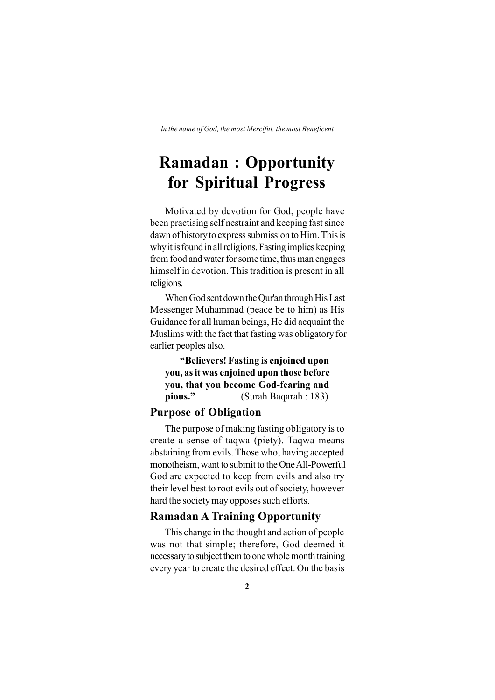### **Ramadan : Opportunity for Spiritual Progress**

Motivated by devotion for God, people have been practising self nestraint and keeping fast since dawn of history to express submission to Him. This is why it is found in all religions. Fasting implies keeping from food and water for some time, thus man engages himself in devotion. This tradition is present in all religions.

When God sent down the Qur'an through His Last Messenger Muhammad (peace be to him) as His Guidance for all human beings, He did acquaint the Muslims with the fact that fasting was obligatory for earlier peoples also.

**"Believers! Fasting is enjoined upon you, as it was enjoined upon those before you, that you become God-fearing and pious."** (Surah Baqarah : 183)

#### **Purpose of Obligation**

The purpose of making fasting obligatory is to create a sense of taqwa (piety). Taqwa means abstaining from evils. Those who, having accepted monotheism, want to submit to the One All-Powerful God are expected to keep from evils and also try their level best to root evils out of society, however hard the society may opposes such efforts.

#### **Ramadan A Training Opportunity**

This change in the thought and action of people was not that simple; therefore, God deemed it necessary to subject them to one whole month training every year to create the desired effect. On the basis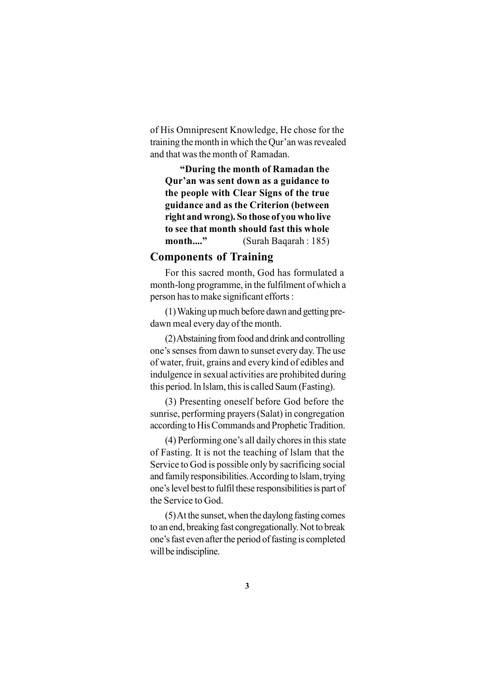of His Omnipresent Knowledge, He chose for the training the month in which the Qur'an was revealed and that was the month of Ramadan.

**"During the month of Ramadan the Qur'an was sent down as a guidance to the people with Clear Signs of the true guidance and as the Criterion (between right and wrong). So those of you who live to see that month should fast this whole month...."** (Surah Baqarah : 185)

#### **Components of Training**

For this sacred month, God has formulated a month-long programme, in the fulfilment of which a person has to make significant efforts :

(1) Waking up much before dawn and getting predawn meal every day of the month.

(2) Abstaining from food and drink and controlling one's senses from dawn to sunset every day. The use of water, fruit, grains and every kind of edibles and indulgence in sexual activities are prohibited during this period. ln lslam, this is called Saum (Fasting).

(3) Presenting oneself before God before the sunrise, performing prayers (Salat) in congregation according to His Commands and Prophetic Tradition.

(4) Performing one's all daily chores in this state of Fasting. It is not the teaching of lslam that the Service to God is possible only by sacrificing social and family responsibilities. According to lslam, trying one's level best to fulfil these responsibilities is part of the Service to God.

(5) At the sunset, when the daylong fasting comes to an end, breaking fast congregationally. Not to break one's fast even after the period of fasting is completed will be indiscipline.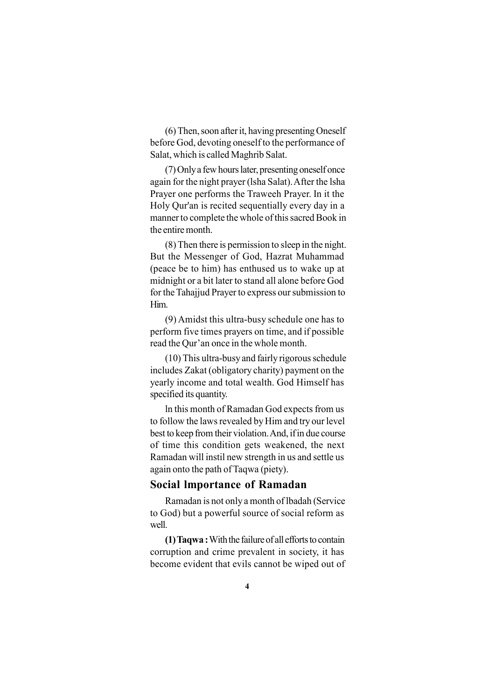(6) Then, soon after it, having presenting Oneself before God, devoting oneself to the performance of Salat, which is called Maghrib Salat.

(7) Only a few hours later, presenting oneself once again for the night prayer (lsha Salat). After the lsha Prayer one performs the Traweeh Prayer. In it the Holy Qur'an is recited sequentially every day in a manner to complete the whole of this sacred Book in the entire month.

(8) Then there is permission to sleep in the night. But the Messenger of God, Hazrat Muhammad (peace be to him) has enthused us to wake up at midnight or a bit later to stand all alone before God for the Tahajjud Prayer to express our submission to Him.

(9) Amidst this ultra-busy schedule one has to perform five times prayers on time, and if possible read the Qur'an once in the whole month.

(10) This ultra-busy and fairly rigorous schedule includes Zakat (obligatory charity) payment on the yearly income and total wealth. God Himself has specified its quantity.

ln this month of Ramadan God expects from us to follow the laws revealed by Him and try our level best to keep from their violation. And, if in due course of time this condition gets weakened, the next Ramadan will instil new strength in us and settle us again onto the path of Taqwa (piety).

#### **Social lmportance of Ramadan**

Ramadan is not only a month of lbadah (Service to God) but a powerful source of social reform as well.

**(1) Taqwa :** With the failure of all efforts to contain corruption and crime prevalent in society, it has become evident that evils cannot be wiped out of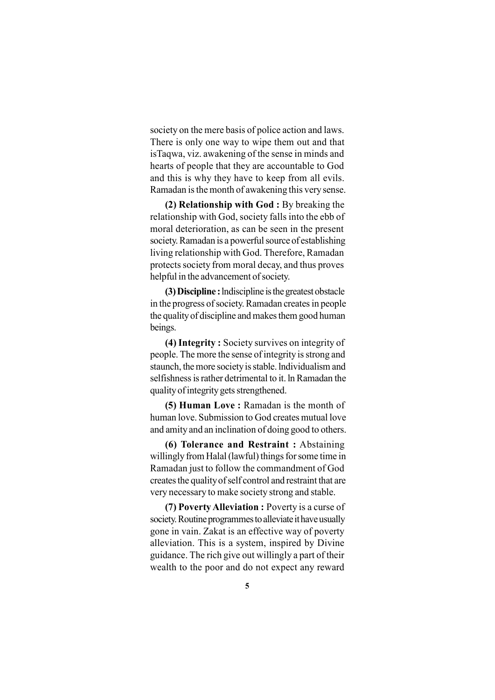society on the mere basis of police action and laws. There is only one way to wipe them out and that isTaqwa, viz. awakening of the sense in minds and hearts of people that they are accountable to God and this is why they have to keep from all evils. Ramadan is the month of awakening this very sense.

**(2) Relationship with God :** By breaking the relationship with God, society falls into the ebb of moral deterioration, as can be seen in the present society. Ramadan is a powerful source of establishing living relationship with God. Therefore, Ramadan protects society from moral decay, and thus proves helpful in the advancement of society.

**(3) Discipline :** lndiscipline is the greatest obstacle in the progress of society. Ramadan creates in people the quality of discipline and makes them good human beings.

**(4) Integrity :** Society survives on integrity of people. The more the sense of integrity is strong and staunch, the more society is stable. lndividualism and selfishness is rather detrimental to it. ln Ramadan the quality of integrity gets strengthened.

**(5) Human Love :** Ramadan is the month of human love. Submission to God creates mutual love and amity and an inclination of doing good to others.

**(6) Tolerance and Restraint :** Abstaining willingly from Halal (lawful) things for some time in Ramadan just to follow the commandment of God creates the quality of self control and restraint that are very necessary to make society strong and stable.

**(7) Poverty Alleviation :** Poverty is a curse of society. Routine programmes to alleviate it have usually gone in vain. Zakat is an effective way of poverty alleviation. This is a system, inspired by Divine guidance. The rich give out willingly a part of their wealth to the poor and do not expect any reward